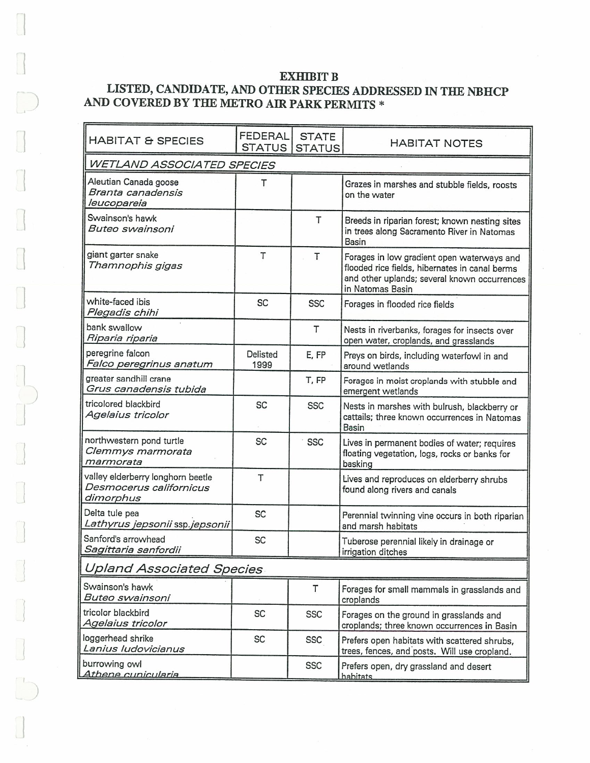## **EXHIBIT B LISTED, CANDIDATE, AND OTHER SPECIES ADDRESSED** IN **THE NBHCP AND COVERED BY THE METRO AIR PARK PERMITS** \*

 $\mathbf{L}$ 

 $\begin{picture}(42,14) \put(0,0){\line(1,0){15}} \put(1,0){\line(1,0){15}} \put(1,0){\line(1,0){15}} \put(1,0){\line(1,0){15}} \put(1,0){\line(1,0){15}} \put(1,0){\line(1,0){15}} \put(1,0){\line(1,0){15}} \put(1,0){\line(1,0){15}} \put(1,0){\line(1,0){15}} \put(1,0){\line(1,0){15}} \put(1,0){\line(1,0){15}} \put(1,0){\line(1,0){15}} \put(1,$ 

 $\begin{bmatrix} \phantom{-} \end{bmatrix}$ 

 $\vert$ 

 $)$ 

 $\bigcup$ 

| <b>HABITAT &amp; SPECIES</b>                                              | <b>FEDERAL</b><br><b>STATUS</b> | <b>STATE</b><br><b>STATUS</b> | <b>HABITAT NOTES</b>                                                                                                                                             |
|---------------------------------------------------------------------------|---------------------------------|-------------------------------|------------------------------------------------------------------------------------------------------------------------------------------------------------------|
| WETLAND ASSOCIATED SPECIES                                                |                                 |                               |                                                                                                                                                                  |
| Aleutian Canada goose<br>Branta canadensis<br>leucopareia                 | т                               |                               | Grazes in marshes and stubble fields, roosts<br>on the water                                                                                                     |
| Swainson's hawk<br>Buteo swainsoni                                        |                                 | T                             | Breeds in riparian forest; known nesting sites<br>in trees along Sacramento River in Natomas<br>Basin                                                            |
| giant garter snake<br>Thamnophis gigas                                    | T                               | T                             | Forages in low gradient open waterways and<br>flooded rice fields, hibernates in canal berms<br>and other uplands; several known occurrences<br>in Natomas Basin |
| white-faced ibis<br>Plegadis chihi                                        | <b>SC</b>                       | <b>SSC</b>                    | Forages in flooded rice fields                                                                                                                                   |
| bank swallow<br>Riparia riparia                                           |                                 | T                             | Nests in riverbanks, forages for insects over<br>open water, croplands, and grasslands                                                                           |
| peregrine falcon<br>Falco peregrinus anatum                               | Delisted<br>1999                | E, FP                         | Preys on birds, including waterfowl in and<br>around wetlands                                                                                                    |
| greater sandhill crane<br>Grus canadensis tubida                          |                                 | T, FP                         | Forages in moist croplands with stubble and<br>emergent wetlands                                                                                                 |
| tricolored blackbird<br>Agelaius tricolor                                 | <b>SC</b>                       | <b>SSC</b>                    | Nests in marshes with bulrush, blackberry or<br>cattails; three known occurrences in Natomas<br>Basin                                                            |
| northwestern pond turtle<br>Clemmys marmorata<br>marmorata                | SC                              | <b>SSC</b>                    | Lives in permanent bodies of water; requires<br>floating vegetation, logs, rocks or banks for<br>basking                                                         |
| valley elderberry longhorn beetle<br>Desmocerus californicus<br>dimorphus | T                               |                               | Lives and reproduces on elderberry shrubs<br>found along rivers and canals                                                                                       |
| Delta tule pea<br>Lathyrus jepsonii ssp.jepsonii                          | SC                              |                               | Perennial twinning vine occurs in both riparian<br>and marsh habitats                                                                                            |
| Sanford's arrowhead<br>Sagittaria sanfordii                               | <b>SC</b>                       |                               | Tuberose perennial likely in drainage or<br>irrigation ditches                                                                                                   |
| <b>Upland Associated Species</b>                                          |                                 |                               |                                                                                                                                                                  |
| Swainson's hawk<br>Buteo swainsoni                                        |                                 | T                             | Forages for small mammals in grasslands and<br>croplands                                                                                                         |
| tricolor blackbird<br>Agelaius tricolor                                   | SC                              | <b>SSC</b>                    | Forages on the ground in grasslands and<br>croplands; three known occurrences in Basin                                                                           |
| loggerhead shrike<br>Lanius Iudovicianus                                  | SC                              | <b>SSC</b>                    | Prefers open habitats with scattered shrubs,<br>trees, fences, and posts. Will use cropland.                                                                     |
| burrowing owl<br>Athene cunicularia                                       |                                 | <b>SSC</b>                    | Prefers open, dry grassland and desert<br>habitats                                                                                                               |